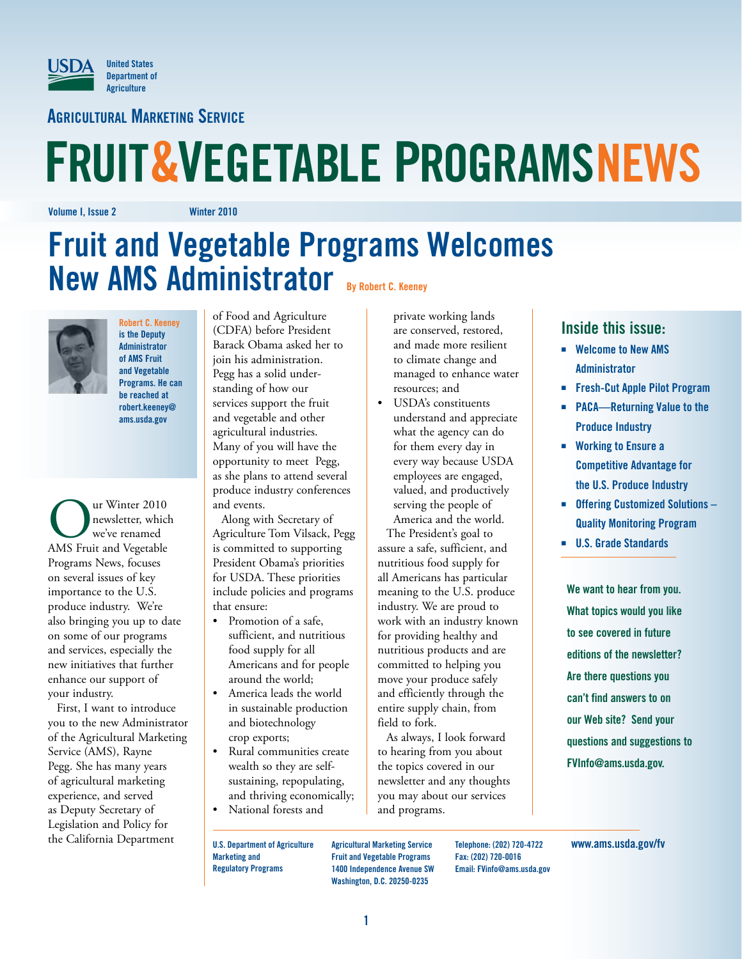

**Agricultural Marketing Service**

# **FRUIT&VEGETABLE PROGRAMSNEWS**

**Volume I, Issue 2 Winter 2010**

# **Fruit and Vegetable Programs Welcomes New AMS Administrator By Robert C. Keeney**



**Robert C. Keeney is the Deputy Administrator of AMS Fruit and Vegetable Programs. He can be reached at robert.keeney@ ams.usda.gov**

UP THE WINTER 2010<br>
We've renamed<br>
MAS Fruit and Vegetable newsletter, which we've renamed Programs News, focuses on several issues of key importance to the U.S. produce industry. We're also bringing you up to date on some of our programs and services, especially the new initiatives that further enhance our support of your industry.

First, I want to introduce you to the new Administrator of the Agricultural Marketing Service (AMS), Rayne Pegg. She has many years of agricultural marketing experience, and served as Deputy Secretary of Legislation and Policy for the California Department

of Food and Agriculture (CDFA) before President Barack Obama asked her to join his administration. Pegg has a solid understanding of how our services support the fruit and vegetable and other agricultural industries. Many of you will have the opportunity to meet Pegg, as she plans to attend several produce industry conferences and events.

Along with Secretary of Agriculture Tom Vilsack, Pegg is committed to supporting President Obama's priorities for USDA. These priorities include policies and programs that ensure:

- • Promotion of a safe, sufficient, and nutritious food supply for all Americans and for people around the world;
- • America leads the world in sustainable production and biotechnology crop exports;
- Rural communities create wealth so they are selfsustaining, repopulating, and thriving economically;
- National forests and

private working lands are conserved, restored, and made more resilient to climate change and managed to enhance water resources; and

• USDA's constituents understand and appreciate what the agency can do for them every day in every way because USDA employees are engaged, valued, and productively serving the people of America and the world.

The President's goal to assure a safe, sufficient, and nutritious food supply for all Americans has particular meaning to the U.S. produce industry. We are proud to work with an industry known for providing healthy and nutritious products and are committed to helping you move your produce safely and efficiently through the entire supply chain, from field to fork.

As always, I look forward to hearing from you about the topics covered in our newsletter and any thoughts you may about our services and programs.

#### **Inside this issue:**

- $\blacksquare$  **Welcome to New AMS Administrator**
- **Fresh-Cut Apple Pilot Program**
- **PACA—Returning Value to the Produce Industry**
- $\blacksquare$  Working to Ensure a **Competitive Advantage for the U.S. Produce Industry**
- $\blacksquare$  **Offering Customized Solutions Quality Monitoring Program**
- ፚ **U.S. Grade Standards**

**We want to hear from you. What topics would you like to see covered in future editions of the newsletter? Are there questions you can't find answers to on our Web site? Send your questions and suggestions to FVInfo@ams.usda.gov.**

**U.S. Department of Agriculture Marketing and Regulatory Programs**

**Agricultural Marketing Service Fruit and Vegetable Programs 1400 Independence Avenue SW Washington, D.C. 20250-0235**

**Telephone: (202) 720-4722 Fax: (202) 720-0016 Email: FVinfo@ams.usda.gov** **www.ams.usda.gov/fv**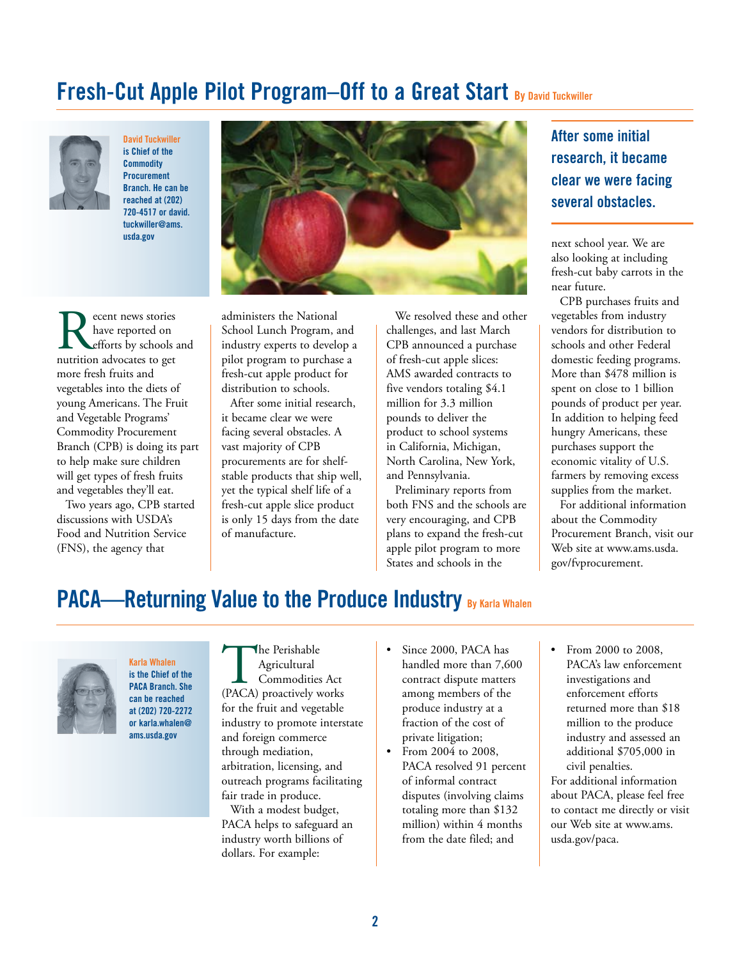# **Fresh-Cut Apple Pilot Program–Off to a Great Start By David Tuckwiller**



**David Tuckwiller is Chief of the Commodity Procurement Branch. He can be reached at (202) 720-4517 or david. tuckwiller@ams. usda.gov**



Recent news stories<br>have reported on<br>nutrition advocates to get have reported on efforts by schools and more fresh fruits and vegetables into the diets of young Americans. The Fruit and Vegetable Programs' Commodity Procurement Branch (CPB) is doing its part to help make sure children will get types of fresh fruits and vegetables they'll eat.

Two years ago, CPB started discussions with USDA's Food and Nutrition Service (FNS), the agency that

administers the National School Lunch Program, and industry experts to develop a pilot program to purchase a fresh-cut apple product for distribution to schools.

After some initial research, it became clear we were facing several obstacles. A vast majority of CPB procurements are for shelfstable products that ship well, yet the typical shelf life of a fresh-cut apple slice product is only 15 days from the date of manufacture.

We resolved these and other challenges, and last March CPB announced a purchase of fresh-cut apple slices: AMS awarded contracts to five vendors totaling \$4.1 million for 3.3 million pounds to deliver the product to school systems in California, Michigan, North Carolina, New York, and Pennsylvania.

Preliminary reports from both FNS and the schools are very encouraging, and CPB plans to expand the fresh-cut apple pilot program to more States and schools in the

#### **After some initial research, it became clear we were facing several obstacles.**

next school year. We are also looking at including fresh-cut baby carrots in the near future.

CPB purchases fruits and vegetables from industry vendors for distribution to schools and other Federal domestic feeding programs. More than \$478 million is spent on close to 1 billion pounds of product per year. In addition to helping feed hungry Americans, these purchases support the economic vitality of U.S. farmers by removing excess supplies from the market.

For additional information about the Commodity Procurement Branch, visit our Web site at www.ams.usda. gov/fvprocurement.

### **PACA—Returning Value to the Produce Industry By Karla Whalen**



**Karla Whalen is the Chief of the PACA Branch. She can be reached at (202) 720-2272 or karla.whalen@ ams.usda.gov**

The Perishable<br>
Agricultural<br>
Commodities Act<br>
(PACA) proactively works Agricultural Commodities Act for the fruit and vegetable industry to promote interstate and foreign commerce through mediation, arbitration, licensing, and outreach programs facilitating fair trade in produce.

With a modest budget, PACA helps to safeguard an industry worth billions of dollars. For example:

- Since 2000, PACA has handled more than 7,600 contract dispute matters among members of the produce industry at a fraction of the cost of private litigation;
- From 2004 to 2008, PACA resolved 91 percent of informal contract disputes (involving claims totaling more than \$132 million) within 4 months from the date filed; and
- From 2000 to 2008. PACA's law enforcement investigations and enforcement efforts returned more than \$18 million to the produce industry and assessed an additional \$705,000 in civil penalties. For additional information about PACA, please feel free to contact me directly or visit

our Web site at www.ams.

usda.gov/paca.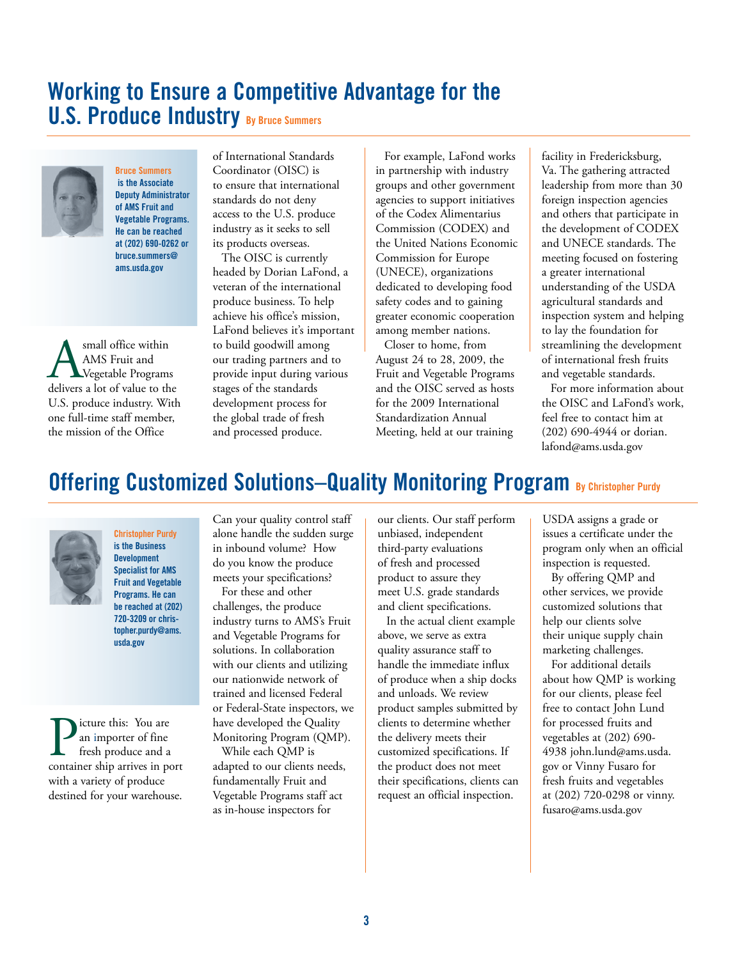## **Working to Ensure a Competitive Advantage for the U.S. Produce Industry By Bruce Summers**



**Bruce Summers is the Associate Deputy Administrator of AMS Fruit and Vegetable Programs. He can be reached at (202) 690-0262 or bruce.summers@ ams.usda.gov**

**ASPENDIG MANAL S**<br>AMS Fruit and<br>delivers a lot of value to the AMS Fruit and Vegetable Programs U.S. produce industry. With one full-time staff member, the mission of the Office

of International Standards Coordinator (OISC) is to ensure that international standards do not deny access to the U.S. produce industry as it seeks to sell its products overseas.

The OISC is currently headed by Dorian LaFond, a veteran of the international produce business. To help achieve his office's mission, LaFond believes it's important to build goodwill among our trading partners and to provide input during various stages of the standards development process for the global trade of fresh and processed produce.

For example, LaFond works in partnership with industry groups and other government agencies to support initiatives of the Codex Alimentarius Commission (CODEX) and the United Nations Economic Commission for Europe (UNECE), organizations dedicated to developing food safety codes and to gaining greater economic cooperation among member nations.

Closer to home, from August 24 to 28, 2009, the Fruit and Vegetable Programs and the OISC served as hosts for the 2009 International Standardization Annual Meeting, held at our training

facility in Fredericksburg, Va. The gathering attracted leadership from more than 30 foreign inspection agencies and others that participate in the development of CODEX and UNECE standards. The meeting focused on fostering a greater international understanding of the USDA agricultural standards and inspection system and helping to lay the foundation for streamlining the development of international fresh fruits and vegetable standards.

For more information about the OISC and LaFond's work, feel free to contact him at (202) 690-4944 or dorian. lafond@ams.usda.gov

# **Offering Customized Solutions–Quality Monitoring Program By Christopher Purdy**



**Christopher Purdy is the Business Development Specialist for AMS Fruit and Vegetable Programs. He can be reached at (202) 720-3209 or christopher.purdy@ams. usda.gov**

**P**icture this: You are<br>fresh produce and a<br>container ship arrives in port an importer of fine fresh produce and a with a variety of produce destined for your warehouse.

Can your quality control staff alone handle the sudden surge in inbound volume? How do you know the produce meets your specifications?

For these and other challenges, the produce industry turns to AMS's Fruit and Vegetable Programs for solutions. In collaboration with our clients and utilizing our nationwide network of trained and licensed Federal or Federal-State inspectors, we have developed the Quality Monitoring Program (QMP).

While each QMP is adapted to our clients needs, fundamentally Fruit and Vegetable Programs staff act as in-house inspectors for

our clients. Our staff perform unbiased, independent third-party evaluations of fresh and processed product to assure they meet U.S. grade standards and client specifications.

In the actual client example above, we serve as extra quality assurance staff to handle the immediate influx of produce when a ship docks and unloads. We review product samples submitted by clients to determine whether the delivery meets their customized specifications. If the product does not meet their specifications, clients can request an official inspection.

USDA assigns a grade or issues a certificate under the program only when an official inspection is requested.

By offering QMP and other services, we provide customized solutions that help our clients solve their unique supply chain marketing challenges.

For additional details about how QMP is working for our clients, please feel free to contact John Lund for processed fruits and vegetables at (202) 690- 4938 john.lund@ams.usda. gov or Vinny Fusaro for fresh fruits and vegetables at (202) 720-0298 or vinny. fusaro@ams.usda.gov